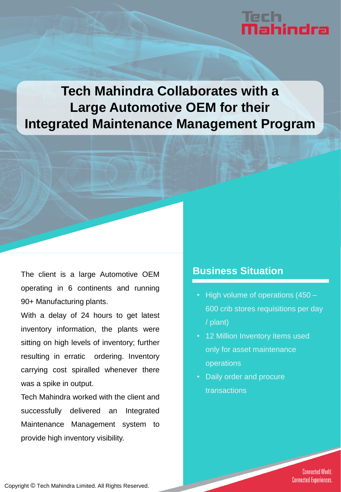# iech<br>**Nahindra**

## **Tech Mahindra Collaborates with a Large Automotive OEM for their Integrated Maintenance Management Program**

The client is a large Automotive OEM operating in 6 continents and running 90+ Manufacturing plants.

With a delay of 24 hours to get latest inventory information, the plants were sitting on high levels of inventory; further resulting in erratic ordering. Inventory carrying cost spiralled whenever there was a spike in output.

Tech Mahindra worked with the client and successfully delivered an Integrated Maintenance Management system to provide high inventory visibility.

#### **Business Situation**

- High volume of operations (450 600 crib stores requisitions per day / plant)
- 12 Million Inventory items used only for asset maintenance operations
- Daily order and procure transactions

**Connected World. Connected Experiences.** 

Copyright © Tech Mahindra Limited. All Rights Reserved.